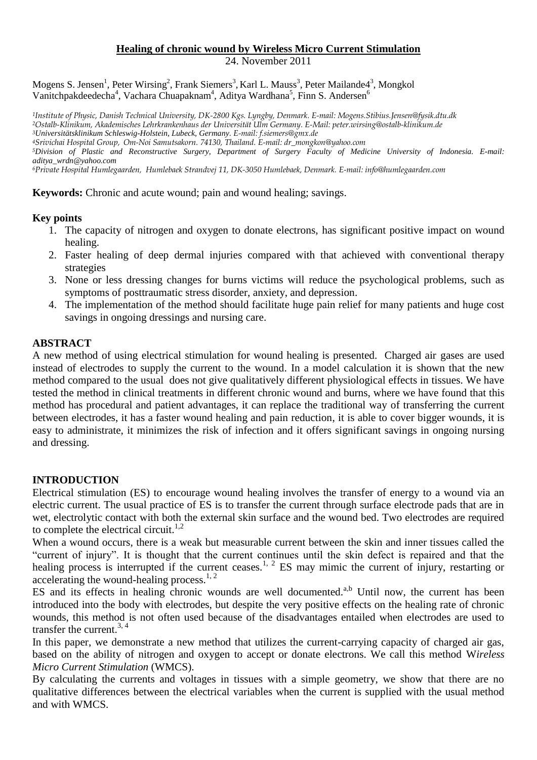#### **Healing of chronic wound by Wireless Micro Current Stimulation** 24. November 2011

Mogens S. Jensen<sup>1</sup>, Peter Wirsing<sup>2</sup>, Frank Siemers<sup>3</sup>, Karl L. Mauss<sup>3</sup>, Peter Mailande4<sup>3</sup>, Mongkol Vanitchpakdeedecha<sup>4</sup>, Vachara Chuapaknam<sup>4</sup>, Aditya Wardhana<sup>5</sup>, Finn S. Andersen<sup>6</sup>

*Institute of Physic, Danish Technical University, DK-2800 Kgs. Lyngby, Denmark. E-mail: Mogens.Stibius.Jensen@fysik.dtu.dk Ostalb-Klinikum, Akademisches Lehrkrankenhaus der Universität Ulm Germany. E-Mail: peter.wirsing@ostalb-klinikum.de Universitätsklinikum Schleswig-Holstein, Lubeck, Germany. E-mail: f.siemers@gmx.de Srivichai Hospital Group, Om-Noi Samutsakorn. 74130, Thailand. E-mail: dr\_mongkon@yahoo.com*

*<sup>5</sup>Division of Plastic and Reconstructive Surgery, Department of Surgery Faculty of Medicine University of Indonesia. E-mail: aditya\_wrdn@yahoo.com*

*<sup>6</sup>Private Hospital Humlegaarden, Humlebaek Strandvej 11, DK-3050 Humlebaek, Denmark. E-mail: info@humlegaarden.com*

**Keywords:** Chronic and acute wound; pain and wound healing; savings.

#### **Key points**

- 1. The capacity of nitrogen and oxygen to donate electrons, has significant positive impact on wound healing.
- 2. Faster healing of deep dermal injuries compared with that achieved with conventional therapy strategies
- 3. None or less dressing changes for burns victims will reduce the psychological problems, such as symptoms of posttraumatic stress disorder, anxiety, and depression.
- 4. The implementation of the method should facilitate huge pain relief for many patients and huge cost savings in ongoing dressings and nursing care.

#### **ABSTRACT**

A new method of using electrical stimulation for wound healing is presented. Charged air gases are used instead of electrodes to supply the current to the wound. In a model calculation it is shown that the new method compared to the usual does not give qualitatively different physiological effects in tissues. We have tested the method in clinical treatments in different chronic wound and burns, where we have found that this method has procedural and patient advantages, it can replace the traditional way of transferring the current between electrodes, it has a faster wound healing and pain reduction, it is able to cover bigger wounds, it is easy to administrate, it minimizes the risk of infection and it offers significant savings in ongoing nursing and dressing.

#### **INTRODUCTION**

Electrical stimulation (ES) to encourage wound healing involves the transfer of energy to a wound via an electric current. The usual practice of ES is to transfer the current through surface electrode pads that are in wet, electrolytic contact with both the external skin surface and the wound bed. Two electrodes are required to complete the electrical circuit.<sup>1,2</sup>

When a wound occurs, there is a weak but measurable current between the skin and inner tissues called the "current of injury". It is thought that the current continues until the skin defect is repaired and that the healing process is interrupted if the current ceases.<sup>1, 2</sup> ES may mimic the current of injury, restarting or accelerating the wound-healing process.<sup>1, 2</sup>

ES and its effects in healing chronic wounds are well documented.<sup> $a,b$ </sup> Until now, the current has been introduced into the body with electrodes, but despite the very positive effects on the healing rate of chronic wounds, this method is not often used because of the disadvantages entailed when electrodes are used to transfer the current.3, <sup>4</sup>

In this paper, we demonstrate a new method that utilizes the current-carrying capacity of charged air gas, based on the ability of nitrogen and oxygen to accept or donate electrons. We call this method W*ireless Micro Current Stimulation* (WMCS).

By calculating the currents and voltages in tissues with a simple geometry, we show that there are no qualitative differences between the electrical variables when the current is supplied with the usual method and with WMCS.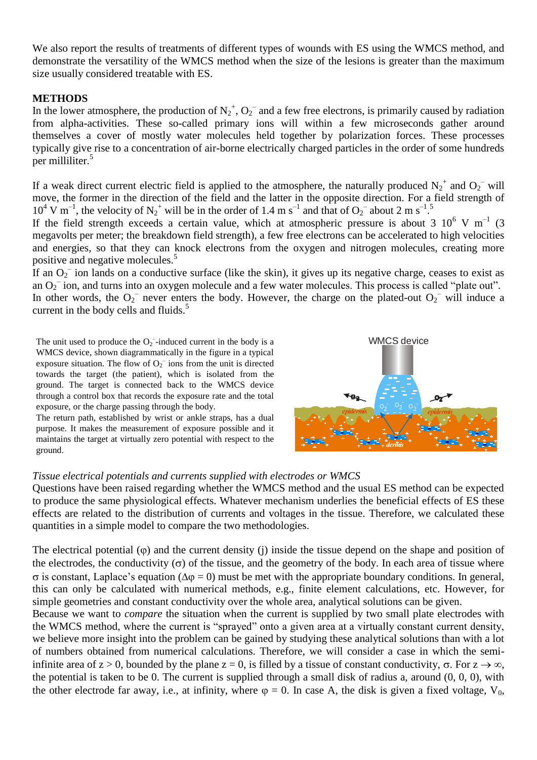We also report the results of treatments of different types of wounds with ES using the WMCS method, and demonstrate the versatility of the WMCS method when the size of the lesions is greater than the maximum size usually considered treatable with ES.

#### **METHODS**

In the lower atmosphere, the production of  $N_2^+$ ,  $O_2^-$  and a few free electrons, is primarily caused by radiation from alpha-activities. These so-called primary ions will within a few microseconds gather around themselves a cover of mostly water molecules held together by polarization forces. These processes typically give rise to a concentration of air-borne electrically charged particles in the order of some hundreds per milliliter.<sup>5</sup>

If a weak direct current electric field is applied to the atmosphere, the naturally produced  $N_2^+$  and  $O_2^-$  will move, the former in the direction of the field and the latter in the opposite direction. For a field strength of  $10^4$  V m<sup>-1</sup>, the velocity of N<sub>2</sub><sup>+</sup> will be in the order of 1.4 m s<sup>-1</sup> and that of O<sub>2</sub><sup>-</sup> about 2 m s<sup>-1</sup>.<sup>5</sup>

If the field strength exceeds a certain value, which at atmospheric pressure is about 3  $10^6$  V m<sup>-1</sup> (3) megavolts per meter; the breakdown field strength), a few free electrons can be accelerated to high velocities and energies, so that they can knock electrons from the oxygen and nitrogen molecules, creating more positive and negative molecules.<sup>5</sup>

If an  $O_2$ <sup>-</sup> ion lands on a conductive surface (like the skin), it gives up its negative charge, ceases to exist as an  $O_2^-$  ion, and turns into an oxygen molecule and a few water molecules. This process is called "plate out". In other words, the  $O_2^-$  never enters the body. However, the charge on the plated-out  $O_2^-$  will induce a current in the body cells and fluids.<sup>5</sup>

The unit used to produce the  $O_2^-$ -induced current in the body is a WMCS device, shown diagrammatically in the figure in a typical exposure situation. The flow of  $O_2$ <sup>-</sup> ions from the unit is directed towards the target (the patient), which is isolated from the ground. The target is connected back to the WMCS device through a control box that records the exposure rate and the total exposure, or the charge passing through the body.

The return path, established by wrist or ankle straps, has a dual purpose. It makes the measurement of exposure possible and it maintains the target at virtually zero potential with respect to the ground.



# *Tissue electrical potentials and currents supplied with electrodes or WMCS*

Questions have been raised regarding whether the WMCS method and the usual ES method can be expected to produce the same physiological effects. Whatever mechanism underlies the beneficial effects of ES these effects are related to the distribution of currents and voltages in the tissue. Therefore, we calculated these quantities in a simple model to compare the two methodologies.

The electrical potential  $(\varphi)$  and the current density (i) inside the tissue depend on the shape and position of the electrodes, the conductivity  $(\sigma)$  of the tissue, and the geometry of the body. In each area of tissue where  $\sigma$  is constant, Laplace's equation ( $\Delta \varphi = 0$ ) must be met with the appropriate boundary conditions. In general, this can only be calculated with numerical methods, e.g., finite element calculations, etc. However, for simple geometries and constant conductivity over the whole area, analytical solutions can be given.

Because we want to *compare* the situation when the current is supplied by two small plate electrodes with the WMCS method, where the current is "sprayed" onto a given area at a virtually constant current density, we believe more insight into the problem can be gained by studying these analytical solutions than with a lot of numbers obtained from numerical calculations. Therefore, we will consider a case in which the semiinfinite area of  $z > 0$ , bounded by the plane  $z = 0$ , is filled by a tissue of constant conductivity,  $\sigma$ . For  $z \to \infty$ , the potential is taken to be 0. The current is supplied through a small disk of radius a, around (0, 0, 0), with the other electrode far away, i.e., at infinity, where  $\varphi = 0$ . In case A, the disk is given a fixed voltage,  $V_0$ ,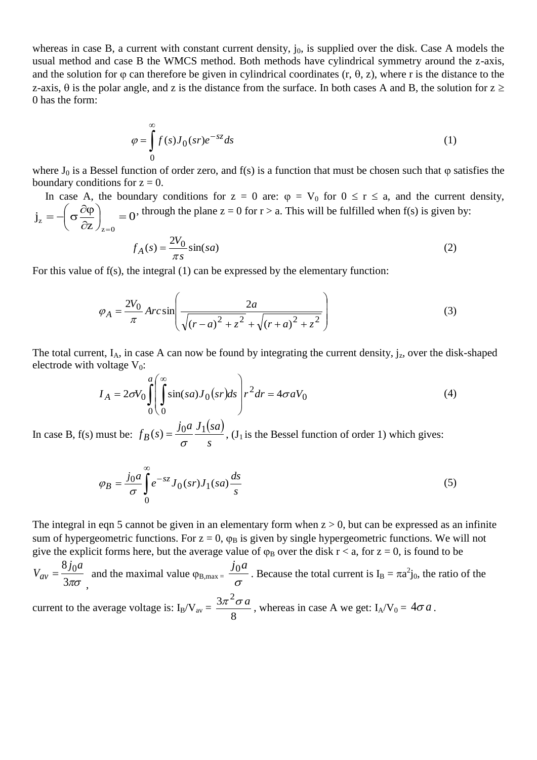whereas in case B, a current with constant current density,  $j_0$ , is supplied over the disk. Case A models the usual method and case B the WMCS method. Both methods have cylindrical symmetry around the z-axis, and the solution for  $\varphi$  can therefore be given in cylindrical coordinates (r,  $\theta$ , z), where r is the distance to the z-axis,  $\theta$  is the polar angle, and z is the distance from the surface. In both cases A and B, the solution for  $z \ge$ 0 has the form:

$$
\varphi = \int_{0}^{\infty} f(s)J_0(sr)e^{-sz}ds
$$
\n(1)

where  $J_0$  is a Bessel function of order zero, and f(s) is a function that must be chosen such that  $\varphi$  satisfies the boundary conditions for  $z = 0$ .

In case A, the boundary conditions for  $z = 0$  are:  $\varphi = V_0$  for  $0 \le r \le a$ , and the current density, 0 z j  $z = 0$  $\sigma_z = -\left(\sigma \frac{\partial \Psi}{\partial z}\right)$  =  $\int$  $\setminus$  $\mathcal{L}$  $\setminus$ ſ  $\partial$  $=-\left(\sigma \frac{\partial \varphi}{\partial \varphi}\right)$  $=$ , through the plane  $z = 0$  for  $r > a$ . This will be fulfilled when  $f(s)$  is given by:

$$
f_A(s) = \frac{2V_0}{\pi s} \sin(sa)
$$
 (2)

For this value of f(s), the integral (1) can be expressed by the elementary function:

$$
\varphi_A = \frac{2V_0}{\pi} Arc \sin \left( \frac{2a}{\sqrt{(r-a)^2 + z^2} + \sqrt{(r+a)^2 + z^2}} \right)
$$
(3)

The total current,  $I_A$ , in case A can now be found by integrating the current density,  $j_z$ , over the disk-shaped electrode with voltage  $V_0$ :

$$
I_A = 2\sigma V_0 \int_0^a \int_0^\infty \sin(sa) J_0(sr) ds \bigg] r^2 dr = 4\sigma a V_0 \tag{4}
$$

In case B, f(s) must be:  $(sa)$  $f_B(s) = \frac{j_0 a}{\sigma} \frac{J_1(s a)}{s}$  $=\frac{J(0a)}{J(0a)}$ , (J<sub>1</sub> is the Bessel function of order 1) which gives:

$$
\varphi_B = \frac{j_0 a}{\sigma} \int_0^\infty e^{-sz} J_0(sr) J_1(sa) \frac{ds}{s}
$$
\n(5)

The integral in eqn 5 cannot be given in an elementary form when  $z > 0$ , but can be expressed as an infinite sum of hypergeometric functions. For  $z = 0$ ,  $\varphi_B$  is given by single hypergeometric functions. We will not give the explicit forms here, but the average value of  $\varphi_B$  over the disk r < a, for z = 0, is found to be

 $3\pi\sigma$  $8j_0a$  $V_{av}$  = , and the maximal value  $\varphi_{B,max} = \frac{30}{\sigma}$  $j_0$ *a* . Because the total current is  $I_B = \pi a^2 j_0$ , the ratio of the current to the average voltage is:  $I_B/V_{av} =$  $\frac{3\pi^2 \sigma a}{a}$ , whereas in case A we get: I<sub>A</sub>/V<sub>0</sub> = 4 $\sigma a$ .

8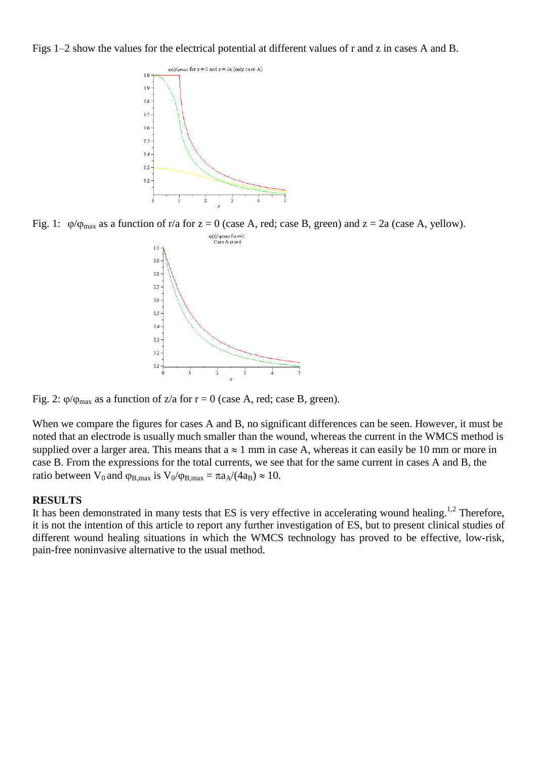Figs 1–2 show the values for the electrical potential at different values of r and z in cases A and B.



Fig. 1:  $\phi/\phi_{\text{max}}$  as a function of r/a for z = 0 (case A, red; case B, green) and z = 2a (case A, yellow).



Fig. 2:  $\varphi/\varphi_{\text{max}}$  as a function of z/a for r = 0 (case A, red; case B, green).

When we compare the figures for cases A and B, no significant differences can be seen. However, it must be noted that an electrode is usually much smaller than the wound, whereas the current in the WMCS method is supplied over a larger area. This means that  $a \approx 1$  mm in case A, whereas it can easily be 10 mm or more in case B. From the expressions for the total currents, we see that for the same current in cases A and B, the ratio between V<sub>0</sub> and  $\varphi_{B,max}$  is V<sub>0</sub>/ $\varphi_{B,max} = \pi a_A/(4a_B) \approx 10$ .

#### **RESULTS**

It has been demonstrated in many tests that ES is very effective in accelerating wound healing.<sup>1,2</sup> Therefore, it is not the intention of this article to report any further investigation of ES, but to present clinical studies of different wound healing situations in which the WMCS technology has proved to be effective, low-risk, pain-free noninvasive alternative to the usual method.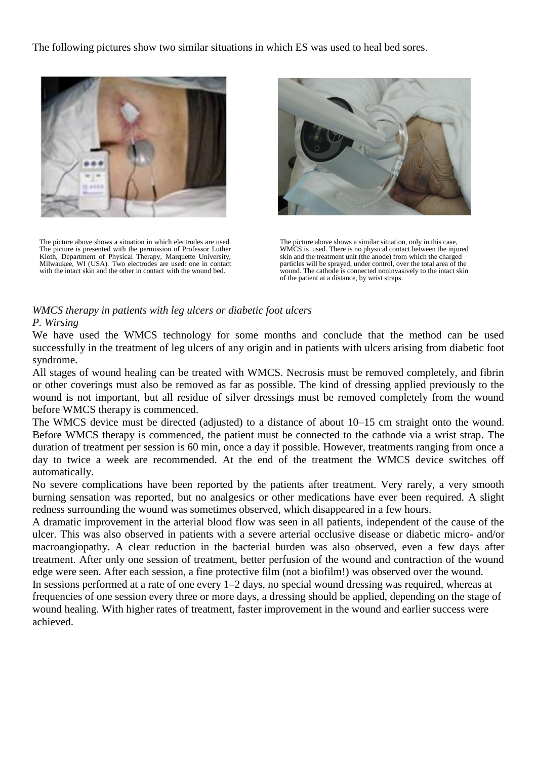The following pictures show two similar situations in which ES was used to heal bed sores.



The picture above shows a situation in which electrodes are used. The picture is presented with the permission of Professor Luther Kloth, Department of Physical Therapy, Marquette University, Milwaukee, WI (USA). Two electrodes are used: one in contact with the intact skin and the other in contact with the wound bed.



The picture above shows a similar situation, only in this case, WMCS is used. There is no physical contact between the injured skin and the treatment unit (the anode) from which the charged particles will be sprayed, under control, over the total area of the wound. The cathode is connected noninvasively to the intact skin of the patient at a distance, by wrist straps.

#### *WMCS therapy in patients with leg ulcers or diabetic foot ulcers P. Wirsing*

We have used the WMCS technology for some months and conclude that the method can be used successfully in the treatment of leg ulcers of any origin and in patients with ulcers arising from diabetic foot syndrome.

All stages of wound healing can be treated with WMCS. Necrosis must be removed completely, and fibrin or other coverings must also be removed as far as possible. The kind of dressing applied previously to the wound is not important, but all residue of silver dressings must be removed completely from the wound before WMCS therapy is commenced.

The WMCS device must be directed (adjusted) to a distance of about 10–15 cm straight onto the wound. Before WMCS therapy is commenced, the patient must be connected to the cathode via a wrist strap. The duration of treatment per session is 60 min, once a day if possible. However, treatments ranging from once a day to twice a week are recommended. At the end of the treatment the WMCS device switches off automatically.

No severe complications have been reported by the patients after treatment. Very rarely, a very smooth burning sensation was reported, but no analgesics or other medications have ever been required. A slight redness surrounding the wound was sometimes observed, which disappeared in a few hours.

A dramatic improvement in the arterial blood flow was seen in all patients, independent of the cause of the ulcer. This was also observed in patients with a severe arterial occlusive disease or diabetic micro- and/or macroangiopathy. A clear reduction in the bacterial burden was also observed, even a few days after treatment. After only one session of treatment, better perfusion of the wound and contraction of the wound edge were seen. After each session, a fine protective film (not a biofilm!) was observed over the wound.

In sessions performed at a rate of one every 1–2 days, no special wound dressing was required, whereas at frequencies of one session every three or more days, a dressing should be applied, depending on the stage of wound healing. With higher rates of treatment, faster improvement in the wound and earlier success were achieved.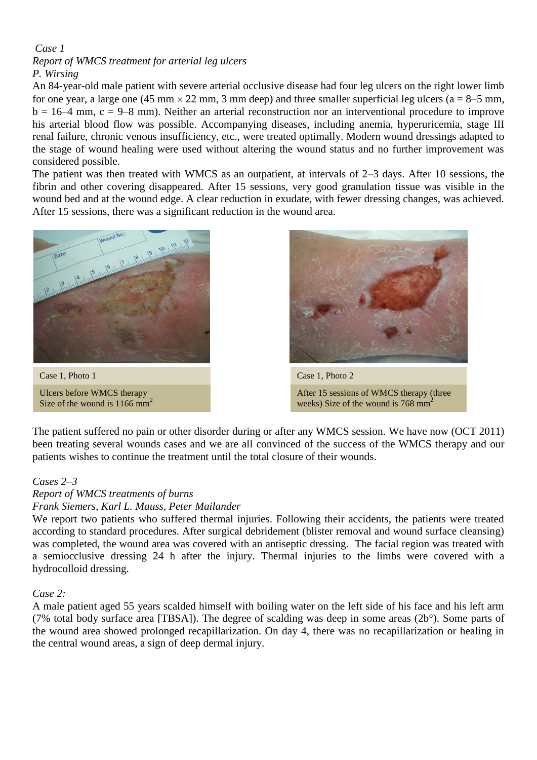# *Case 1*

# *Report of WMCS treatment for arterial leg ulcers P. Wirsing*

An 84-year-old male patient with severe arterial occlusive disease had four leg ulcers on the right lower limb for one year, a large one (45 mm  $\times$  22 mm, 3 mm deep) and three smaller superficial leg ulcers (a = 8–5 mm,  $b = 16-4$  mm,  $c = 9-8$  mm). Neither an arterial reconstruction nor an interventional procedure to improve his arterial blood flow was possible. Accompanying diseases, including anemia, hyperuricemia, stage III renal failure, chronic venous insufficiency, etc., were treated optimally. Modern wound dressings adapted to the stage of wound healing were used without altering the wound status and no further improvement was considered possible.

The patient was then treated with WMCS as an outpatient, at intervals of 2–3 days. After 10 sessions, the fibrin and other covering disappeared. After 15 sessions, very good granulation tissue was visible in the wound bed and at the wound edge. A clear reduction in exudate, with fewer dressing changes, was achieved. After 15 sessions, there was a significant reduction in the wound area.



Ulcers before WMCS therapy Size of the wound is  $1166$  mm<sup>2</sup>



After 15 sessions of WMCS therapy (three weeks) Size of the wound is  $768 \text{ mm}^2$ 

The patient suffered no pain or other disorder during or after any WMCS session. We have now (OCT 2011) been treating several wounds cases and we are all convinced of the success of the WMCS therapy and our patients wishes to continue the treatment until the total closure of their wounds.

# *Cases 2–3*

# *Report of WMCS treatments of burns*

# *Frank Siemers, Karl L. Mauss, Peter Mailander*

We report two patients who suffered thermal injuries. Following their accidents, the patients were treated according to standard procedures. After surgical debridement (blister removal and wound surface cleansing) was completed, the wound area was covered with an antiseptic dressing. The facial region was treated with a semiocclusive dressing 24 h after the injury. Thermal injuries to the limbs were covered with a hydrocolloid dressing.

#### *Case 2:*

A male patient aged 55 years scalded himself with boiling water on the left side of his face and his left arm (7% total body surface area [TBSA]). The degree of scalding was deep in some areas (2b°). Some parts of the wound area showed prolonged recapillarization. On day 4, there was no recapillarization or healing in the central wound areas, a sign of deep dermal injury.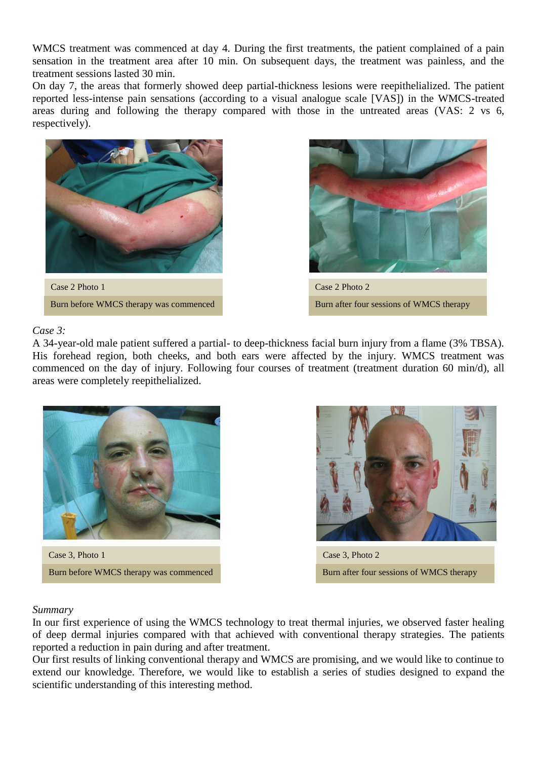WMCS treatment was commenced at day 4. During the first treatments, the patient complained of a pain sensation in the treatment area after 10 min. On subsequent days, the treatment was painless, and the treatment sessions lasted 30 min.

On day 7, the areas that formerly showed deep partial-thickness lesions were reepithelialized. The patient reported less-intense pain sensations (according to a visual analogue scale [VAS]) in the WMCS-treated areas during and following the therapy compared with those in the untreated areas (VAS: 2 vs 6, respectively).



#### *Case 3:*

A 34-year-old male patient suffered a partial- to deep-thickness facial burn injury from a flame (3% TBSA). His forehead region, both cheeks, and both ears were affected by the injury. WMCS treatment was commenced on the day of injury. Following four courses of treatment (treatment duration 60 min/d), all areas were completely reepithelialized.



Case 3, Photo 1 Case 3, Photo 2 Burn before WMCS therapy was commenced Burn after four sessions of WMCS therapy



#### *Summary*

In our first experience of using the WMCS technology to treat thermal injuries, we observed faster healing of deep dermal injuries compared with that achieved with conventional therapy strategies. The patients reported a reduction in pain during and after treatment.

Our first results of linking conventional therapy and WMCS are promising, and we would like to continue to extend our knowledge. Therefore, we would like to establish a series of studies designed to expand the scientific understanding of this interesting method.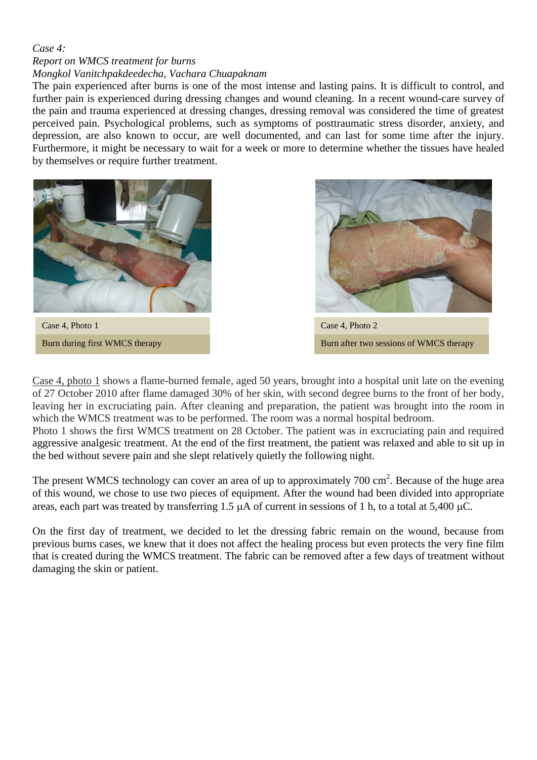# *Case 4:*

# *Report on WMCS treatment for burns*

*Mongkol Vanitchpakdeedecha, Vachara Chuapaknam* 

The pain experienced after burns is one of the most intense and lasting pains. It is difficult to control, and further pain is experienced during dressing changes and wound cleaning. In a recent wound-care survey of the pain and trauma experienced at dressing changes, dressing removal was considered the time of greatest perceived pain. Psychological problems, such as symptoms of posttraumatic stress disorder, anxiety, and depression, are also known to occur, are well documented, and can last for some time after the injury. Furthermore, it might be necessary to wait for a week or more to determine whether the tissues have healed by themselves or require further treatment.



Case 4, Photo 1 Burn during first WMCS therapy



Case 4, Photo 2 Burn after two sessions of WMCS therapy

Case 4, photo 1 shows a flame-burned female, aged 50 years, brought into a hospital unit late on the evening of 27 October 2010 after flame damaged 30% of her skin, with second degree burns to the front of her body, leaving her in excruciating pain. After cleaning and preparation, the patient was brought into the room in which the WMCS treatment was to be performed. The room was a normal hospital bedroom.

Photo 1 shows the first WMCS treatment on 28 October. The patient was in excruciating pain and required aggressive analgesic treatment. At the end of the first treatment, the patient was relaxed and able to sit up in the bed without severe pain and she slept relatively quietly the following night.

The present WMCS technology can cover an area of up to approximately  $700 \text{ cm}^2$ . Because of the huge area of this wound, we chose to use two pieces of equipment. After the wound had been divided into appropriate areas, each part was treated by transferring 1.5  $\mu$ A of current in sessions of 1 h, to a total at 5,400  $\mu$ C.

On the first day of treatment, we decided to let the dressing fabric remain on the wound, because from previous burns cases, we knew that it does not affect the healing process but even protects the very fine film that is created during the WMCS treatment. The fabric can be removed after a few days of treatment without damaging the skin or patient.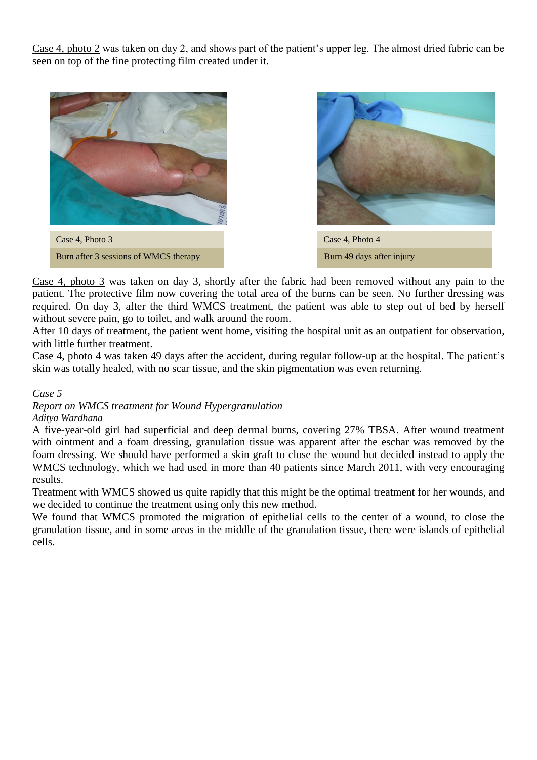Case 4, photo 2 was taken on day 2, and shows part of the patient's upper leg. The almost dried fabric can be seen on top of the fine protecting film created under it.





Case 4, photo 3 was taken on day 3, shortly after the fabric had been removed without any pain to the patient. The protective film now covering the total area of the burns can be seen. No further dressing was required. On day 3, after the third WMCS treatment, the patient was able to step out of bed by herself without severe pain, go to toilet, and walk around the room.

After 10 days of treatment, the patient went home, visiting the hospital unit as an outpatient for observation, with little further treatment.

Case 4, photo 4 was taken 49 days after the accident, during regular follow-up at the hospital. The patient's skin was totally healed, with no scar tissue, and the skin pigmentation was even returning.

*Case 5*

*Report on WMCS treatment for Wound Hypergranulation*

*Aditya Wardhana*

A five-year-old girl had superficial and deep dermal burns, covering 27% TBSA. After wound treatment with ointment and a foam dressing, granulation tissue was apparent after the eschar was removed by the foam dressing. We should have performed a skin graft to close the wound but decided instead to apply the WMCS technology, which we had used in more than 40 patients since March 2011, with very encouraging results.

Treatment with WMCS showed us quite rapidly that this might be the optimal treatment for her wounds, and we decided to continue the treatment using only this new method.

We found that WMCS promoted the migration of epithelial cells to the center of a wound, to close the granulation tissue, and in some areas in the middle of the granulation tissue, there were islands of epithelial cells.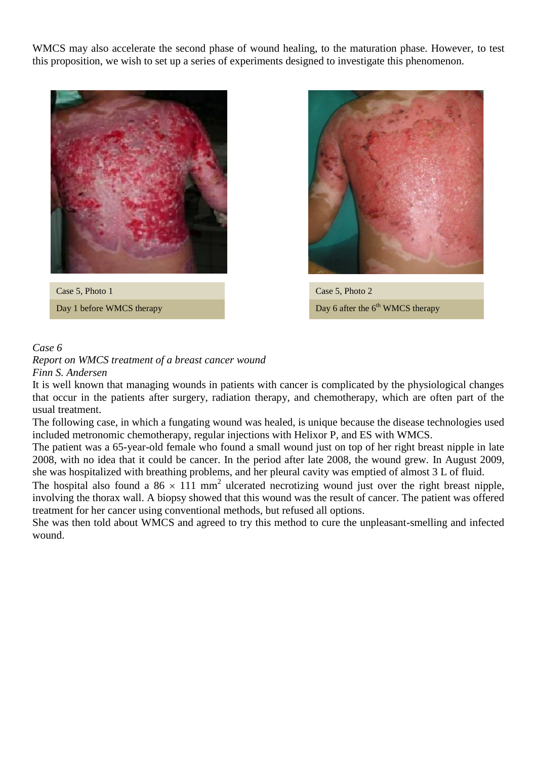WMCS may also accelerate the second phase of wound healing, to the maturation phase. However, to test this proposition, we wish to set up a series of experiments designed to investigate this phenomenon.



Case 5, Photo 1 Day 1 before WMCS therapy



Case 5, Photo 2 Day 6 after the 6<sup>th</sup> WMCS therapy

# *Case 6*

*Report on WMCS treatment of a breast cancer wound Finn S. Andersen*

It is well known that managing wounds in patients with cancer is complicated by the physiological changes that occur in the patients after surgery, radiation therapy, and chemotherapy, which are often part of the usual treatment.

The following case, in which a fungating wound was healed, is unique because the disease technologies used included metronomic chemotherapy, regular injections with Helixor P, and ES with WMCS.

The patient was a 65-year-old female who found a small wound just on top of her right breast nipple in late 2008, with no idea that it could be cancer. In the period after late 2008, the wound grew. In August 2009, she was hospitalized with breathing problems, and her pleural cavity was emptied of almost 3 L of fluid.

The hospital also found a 86  $\times$  111 mm<sup>2</sup> ulcerated necrotizing wound just over the right breast nipple, involving the thorax wall. A biopsy showed that this wound was the result of cancer. The patient was offered treatment for her cancer using conventional methods, but refused all options.

She was then told about WMCS and agreed to try this method to cure the unpleasant-smelling and infected wound.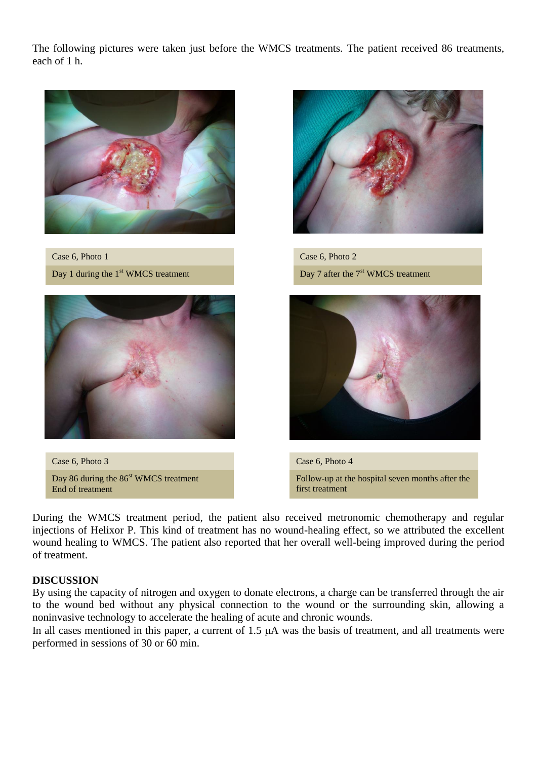The following pictures were taken just before the WMCS treatments. The patient received 86 treatments, each of 1 h.



Case 6, Photo 1 Day 1 during the  $1<sup>st</sup>$  WMCS treatment



Case 6, Photo 3 Day 86 during the 86<sup>st</sup> WMCS treatment End of treatment



Case 6, Photo 2 Day 7 after the 7<sup>st</sup> WMCS treatment



Case 6, Photo 4 Follow-up at the hospital seven months after the first treatment

During the WMCS treatment period, the patient also received metronomic chemotherapy and regular injections of Helixor P. This kind of treatment has no wound-healing effect, so we attributed the excellent wound healing to WMCS. The patient also reported that her overall well-being improved during the period of treatment.

# **DISCUSSION**

By using the capacity of nitrogen and oxygen to donate electrons, a charge can be transferred through the air to the wound bed without any physical connection to the wound or the surrounding skin, allowing a noninvasive technology to accelerate the healing of acute and chronic wounds.

In all cases mentioned in this paper, a current of  $1.5 \mu A$  was the basis of treatment, and all treatments were performed in sessions of 30 or 60 min.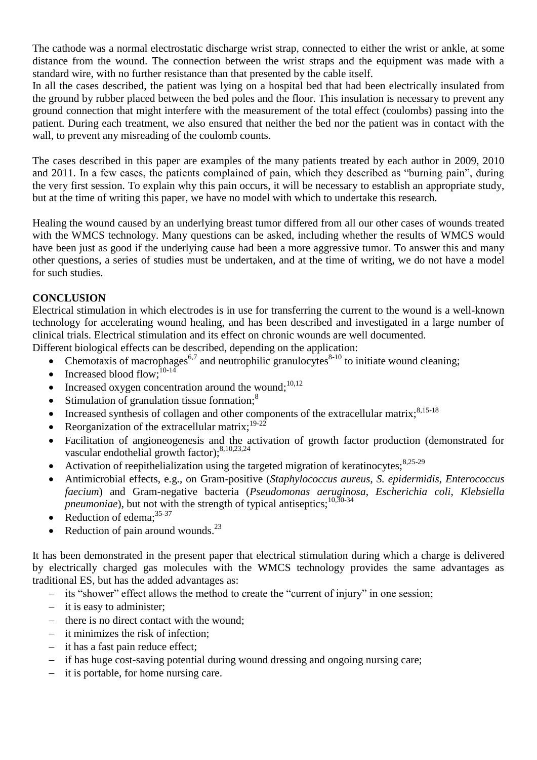The cathode was a normal electrostatic discharge wrist strap, connected to either the wrist or ankle, at some distance from the wound. The connection between the wrist straps and the equipment was made with a standard wire, with no further resistance than that presented by the cable itself.

In all the cases described, the patient was lying on a hospital bed that had been electrically insulated from the ground by rubber placed between the bed poles and the floor. This insulation is necessary to prevent any ground connection that might interfere with the measurement of the total effect (coulombs) passing into the patient. During each treatment, we also ensured that neither the bed nor the patient was in contact with the wall, to prevent any misreading of the coulomb counts.

The cases described in this paper are examples of the many patients treated by each author in 2009, 2010 and 2011. In a few cases, the patients complained of pain, which they described as "burning pain", during the very first session. To explain why this pain occurs, it will be necessary to establish an appropriate study, but at the time of writing this paper, we have no model with which to undertake this research.

Healing the wound caused by an underlying breast tumor differed from all our other cases of wounds treated with the WMCS technology. Many questions can be asked, including whether the results of WMCS would have been just as good if the underlying cause had been a more aggressive tumor. To answer this and many other questions, a series of studies must be undertaken, and at the time of writing, we do not have a model for such studies.

# **CONCLUSION**

Electrical stimulation in which electrodes is in use for transferring the current to the wound is a well-known technology for accelerating wound healing, and has been described and investigated in a large number of clinical trials. Electrical stimulation and its effect on chronic wounds are well documented.

Different biological effects can be described, depending on the application:

- Chemotaxis of macrophages<sup>6,7</sup> and neutrophilic granulocytes<sup>8-10</sup> to initiate wound cleaning;
- $\bullet$  Increased blood flow;<sup>10-14</sup>
- Increased oxygen concentration around the wound;<sup>10,12</sup>
- Stimulation of granulation tissue formation: $8$
- Increased synthesis of collagen and other components of the extracellular matrix; $8,15-18$
- Reorganization of the extracellular matrix;<sup>19-22</sup>
- Facilitation of angioneogenesis and the activation of growth factor production (demonstrated for vascular endothelial growth factor);<sup>8,10,23,24</sup>
- Activation of reepithelialization using the targeted migration of keratinocytes; $8,25-29$
- Antimicrobial effects, e.g., on Gram-positive (*Staphylococcus aureus*, *S. epidermidis*, *Enterococcus faecium*) and Gram-negative bacteria (*Pseudomonas aeruginosa*, *Escherichia coli*, *Klebsiella pneumoniae*), but not with the strength of typical antiseptics;<sup>10,30-34</sup>
- Reduction of edema:<sup>35-37</sup>
- Reduction of pain around wounds. $^{23}$

It has been demonstrated in the present paper that electrical stimulation during which a charge is delivered by electrically charged gas molecules with the WMCS technology provides the same advantages as traditional ES, but has the added advantages as:

- its "shower" effect allows the method to create the "current of injury" in one session;
- $-$  it is easy to administer;
- $\theta$  there is no direct contact with the wound;
- it minimizes the risk of infection;
- $-$  it has a fast pain reduce effect;
- if has huge cost-saving potential during wound dressing and ongoing nursing care;
- $\overline{\phantom{a}}$  it is portable, for home nursing care.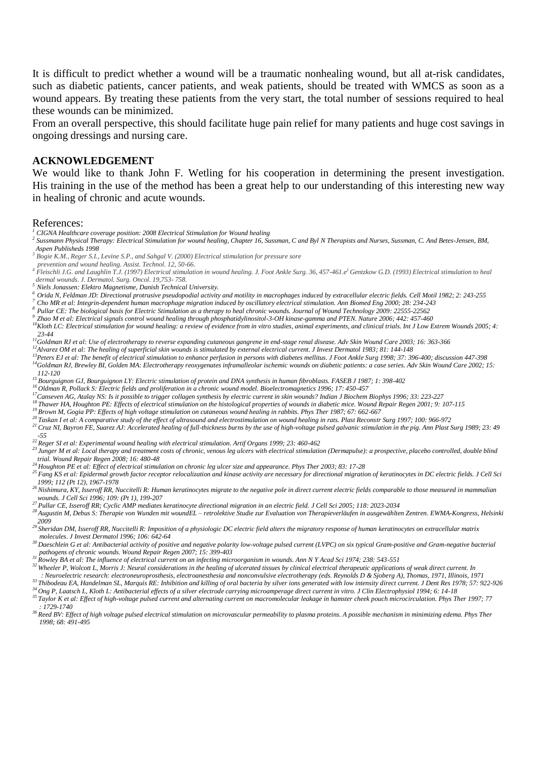It is difficult to predict whether a wound will be a traumatic nonhealing wound, but all at-risk candidates, such as diabetic patients, cancer patients, and weak patients, should be treated with WMCS as soon as a wound appears. By treating these patients from the very start, the total number of sessions required to heal these wounds can be minimized.

From an overall perspective, this should facilitate huge pain relief for many patients and huge cost savings in ongoing dressings and nursing care.

#### **ACKNOWLEDGEMENT**

We would like to thank John F. Wetling for his cooperation in determining the present investigation. His training in the use of the method has been a great help to our understanding of this interesting new way in healing of chronic and acute wounds.

#### References:

- *<sup>1</sup> CIGNA Healthcare coverage position: 2008 Electrical Stimulation for Wound healing*
- *2 Sussmann Physical Therapy: Electrical Stimulation for wound healing, Chapter 16, Sussman, C and Byl N Therapists and Nurses, Sussman, C. And Betes-Jensen, BM, Aspen Publisheds 1998*
- *3 Bogie K.M., Reger S.I., Levine S.P., and Sahgal V. (2000) Electrical stimulation for pressure sore*
- *prevention and wound healing. Assist. Technol. 12, 50-66.*
- <sup>4</sup> *Fleischli J.G. and Laughlin T.J. (1997) Electrical stimulation in wound healing. J. Foot Ankle Surg. 36, 457-461.e<sup>)</sup> Gentzkow G.D. (1993) Electrical stimulation to heal dermal wounds. J. Dermatol. Surg. Oncol. 19,753- 758.*
- *<sup>5</sup>Niels Jonassen: Elektro Magnetisme, Danish Technical University.*
- *<sup>6</sup>Orida N, Feldman JD: Directional protrusive pseudopodial activity and motility in macrophages induced by extracellular electric fields. Cell Motil 1982; 2: 243-255*
- *<sup>7</sup>Cho MR et al: Integrin-dependent human macrophage migration induced by oscillatory electrical stimulation. Ann Biomed Eng 2000; 28: 234-243*
- <sup>8</sup> Pullar CE: The biological basis for Electric Stimulation as a therapy to heal chronic wounds. Journal of Wound Technology 2009: 22555-22562
- *<sup>9</sup>Zhao M et al: Electrical signals control wound healing through phosphatidylinositol-3-OH kinase-gamma and PTEN. Nature 2006; 442: 457-460*
- *<sup>10</sup>Kloth LC: Electrical stimulation for wound healing: a review of evidence from in vitro studies, animal experiments, and clinical trials. Int J Low Extrem Wounds 2005; 4: 23-44*
- *<sup>11</sup>Goldman RJ et al: Use of electrotherapy to reverse expanding cutaneous gangrene in end-stage renal disease. Adv Skin Wound Care 2003; 16: 363-366*
- *<sup>12</sup>Alvarez OM et al: The healing of superficial skin wounds is stimulated by external electrical current. J Invest Dermatol 1983; 81: 144-148*
- *<sup>13</sup>Peters EJ et al: The benefit of electrical stimulation to enhance perfusion in persons with diabetes mellitus. J Foot Ankle Surg 1998; 37: 396-400; discussion 447-398 <sup>14</sup>Goldman RJ, Brewley BI, Golden MA: Electrotherapy reoxygenates inframalleolar ischemic wounds on diabetic patients: a case series. Adv Skin Wound Care 2002; 15: 112-120*
- *<sup>15</sup>Bourguignon GJ, Bourguignon LY: Electric stimulation of protein and DNA synthesis in human fibroblasts. FASEB J 1987; 1: 398-402*
- *<sup>16</sup> Oldman R, Pollack S: Electric fields and proliferation in a chronic wound model. Bioelectromagnetics 1996; 17: 450-457*
- *<sup>17</sup>Canseven AG, Atalay NS: Is it possible to trigger collagen synthesis by electric current in skin wounds? Indian J Biochem Biophys 1996; 33: 223-227*
- <sup>18</sup> *Is hawer HA, Houghton PE: Effects of electrical stimulation on the histological properties of wounds in diabetic mice. Wound Repair Regen 2001; 9: 107-115<sup>3</sup>*
- *<sup>19</sup> Brown M, Gogia PP: Effects of high voltage stimulation on cutaneous wound healing in rabbits. Phys Ther 1987; 67: 662-667*
- *<sup>20</sup> Taskan I et al: A comparative study of the effect of ultrasound and electrostimulation on wound healing in rats. Plast Reconstr Surg 1997; 100: 966-972*
- *<sup>21</sup> Cruz NI, Bayron FE, Suarez AJ: Accelerated healing of full-thickness burns by the use of high-voltage pulsed galvanic stimulation in the pig. Ann Plast Surg 1989; 23: 49 -55*
- *<sup>22</sup> Reger SI et al: Experimental wound healing with electrical stimulation. Artif Organs 1999; 23: 460-462*
- *23 Junger M et al: Local therapy and treatment costs of chronic, venous leg ulcers with electrical stimulation (Dermapulse): a prospective, placebo controlled, double blind <i>23 Junger M et al: Local therapy and treatm*
- *trial. Wound Repair Regen 2008; 16: 480-48 <sup>24</sup> Houghton PE et al: Effect of electrical stimulation on chronic leg ulcer size and appearance. Phys Ther 2003; 83: 17-28*
- *<sup>25</sup> Fang KS et al: Epidermal growth factor receptor relocalization and kinase activity are necessary for directional migration of keratinocytes in DC electric fields. J Cell Sci 1999; 112 (Pt 12), 1967-1978*
- *<sup>26</sup> Nishimura, KY, Isseroff RR, Nuccitelli R: Human keratinocytes migrate to the negative pole in direct current electric fields comparable to those measured in mammalian wounds. J Cell Sci 1996; 109: (Pt 1), 199-207*
- *<sup>27</sup> Pullar CE, Isseroff RR; Cyclic AMP mediates keratinocyte directional migration in an electric field. J Cell Sci 2005; 118: 2023-2034*

*28 Augustin M, Debus S: Therapie von Wunden mit woundEL – retrolektive Studie zur Evaluation von Therapieverläufen in ausgewählten Zentren. EWMA-Kongress, Helsinki 2009* 

- *<sup>29</sup> Sheridan DM, Isseroff RR, Nuccitelli R: Imposition of a physiologic DC electric field alters the migratory response of human keratinocytes on extracellular matrix molecules. J Invest Dermatol 1996; 106: 642-64*
- <sup>30</sup> Daeschlein G et al: Antibacterial activity of positive and negative polarity low-voltage pulsed current (LVPC) on six typical Gram-positive and Gram-negative bacterial  *pathogens of chronic wounds. Wound Repair Regen 2007; 15: 399-403 <sup>31</sup>Rowley BA et al: The influence of electrical current on an infecting microorganism in wounds. Ann N Y Acad Sci 1974; 238: 543-551*
- 
- *<sup>32</sup> Wheeler P, Wolcott L, Morris J: Neural considerations in the healing of ulcerated tissues by clinical electrical therapeutic applications of weak direct current. In*
- *: Neuroelectric research: electroneuroprosthesis, electroanesthesia and nonconvulsive electrotherapy (eds. Reynolds D & Sjoberg A), Thomas, 1971, Illinois, 1971 <sup>33</sup> Thibodeau EA, Handelman SL, Marquis RE: Inhibition and killing of oral bacteria by silver ions generated with low intensity direct current. J Dent Res 1978; 57: 922-926*
- *<sup>34</sup>Ong P, Laatsch L, Kloth L: Antibacterial effects of a silver electrode carrying microamperage direct current in vitro. J Clin Electrophysiol 1994; 6: 14-18*
- *<sup>35</sup>Taylor K et al: Effect of high-voltage pulsed current and alternating current on macromolecular leakage in hamster cheek pouch microcirculation. Phys Ther 1997; 77 : 1729-1740*
- *<sup>36</sup>Reed BV: Effect of high voltage pulsed electrical stimulation on microvascular permeability to plasma proteins. A possible mechanism in minimizing edema. Phys Ther 1998; 68: 491-495*